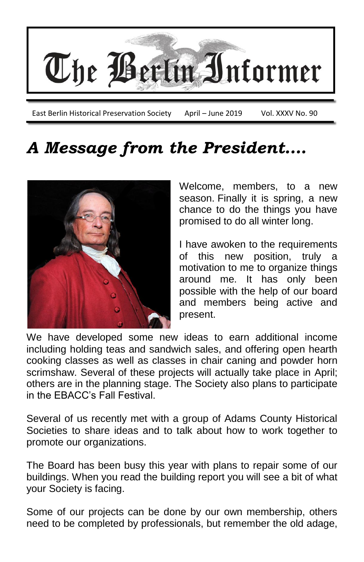

# *A Message from the President….*



Welcome, members, to a new season. Finally it is spring, a new chance to do the things you have promised to do all winter long.

I have awoken to the requirements of this new position, truly motivation to me to organize things around me. It has only been possible with the help of our board and members being active and present.

We have developed some new ideas to earn additional income including holding teas and sandwich sales, and offering open hearth cooking classes as well as classes in chair caning and powder horn scrimshaw. Several of these projects will actually take place in April; others are in the planning stage. The Society also plans to participate in the EBACC's Fall Festival.

Several of us recently met with a group of Adams County Historical Societies to share ideas and to talk about how to work together to promote our organizations.

The Board has been busy this year with plans to repair some of our buildings. When you read the building report you will see a bit of what your Society is facing.

Some of our projects can be done by our own membership, others need to be completed by professionals, but remember the old adage,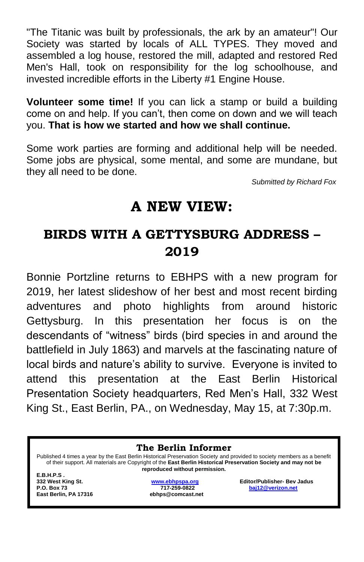"The Titanic was built by professionals, the ark by an amateur"! Our Society was started by locals of ALL TYPES. They moved and assembled a log house, restored the mill, adapted and restored Red Men's Hall, took on responsibility for the log schoolhouse, and invested incredible efforts in the Liberty #1 Engine House.

**Volunteer some time!** If you can lick a stamp or build a building come on and help. If you can't, then come on down and we will teach you. **That is how we started and how we shall continue.**

Some work parties are forming and additional help will be needed. Some jobs are physical, some mental, and some are mundane, but they all need to be done.

*Submitted by Richard Fox*

### **A NEW VIEW:**

### **BIRDS WITH A GETTYSBURG ADDRESS – 2019**

Bonnie Portzline returns to EBHPS with a new program for 2019, her latest slideshow of her best and most recent birding adventures and photo highlights from around historic Gettysburg. In this presentation her focus is on the descendants of "witness" birds (bird species in and around the battlefield in July 1863) and marvels at the fascinating nature of local birds and nature's ability to survive. Everyone is invited to attend this presentation at the East Berlin Historical Presentation Society headquarters, Red Men's Hall, 332 West King St., East Berlin, PA., on Wednesday, May 15, at 7:30p.m.

**The Berlin Informer**

Published 4 times a year by the East Berlin Historical Preservation Society and provided to society members as a benefit of their support. All materials are Copyright of the **East Berlin Historical Preservation Society and may not be reproduced without permission.**

**E.B.H.P.S . East Berlin, PA 17316 ebhps@comcast.net**

**332 West King St. [www.ebhpspa.org](http://www.ebhpspa.org/) Editor/Publisher- Bev Jadus P.O. Box 73 717-259-0822 [baj12@verizon.net](mailto:baj12@verizon.net)**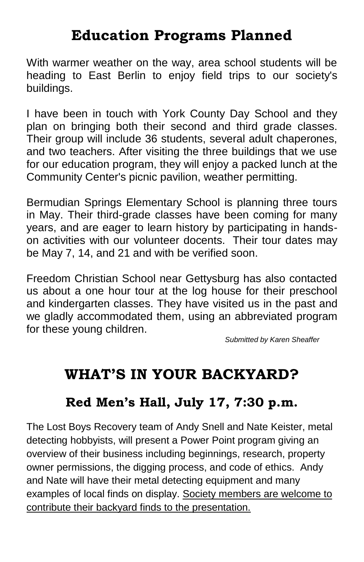## **Education Programs Planned**

With warmer weather on the way, area school students will be heading to East Berlin to enjoy field trips to our society's buildings.

I have been in touch with York County Day School and they plan on bringing both their second and third grade classes. Their group will include 36 students, several adult chaperones, and two teachers. After visiting the three buildings that we use for our education program, they will enjoy a packed lunch at the Community Center's picnic pavilion, weather permitting.

Bermudian Springs Elementary School is planning three tours in May. Their third-grade classes have been coming for many years, and are eager to learn history by participating in handson activities with our volunteer docents. Their tour dates may be May 7, 14, and 21 and with be verified soon.

Freedom Christian School near Gettysburg has also contacted us about a one hour tour at the log house for their preschool and kindergarten classes. They have visited us in the past and we gladly accommodated them, using an abbreviated program for these young children.

*Submitted by Karen Sheaffer*

## **WHAT'S IN YOUR BACKYARD?**

#### **Red Men's Hall, July 17, 7:30 p.m.**

The Lost Boys Recovery team of Andy Snell and Nate Keister, metal detecting hobbyists, will present a Power Point program giving an overview of their business including beginnings, research, property owner permissions, the digging process, and code of ethics. Andy and Nate will have their metal detecting equipment and many examples of local finds on display. Society members are welcome to contribute their backyard finds to the presentation.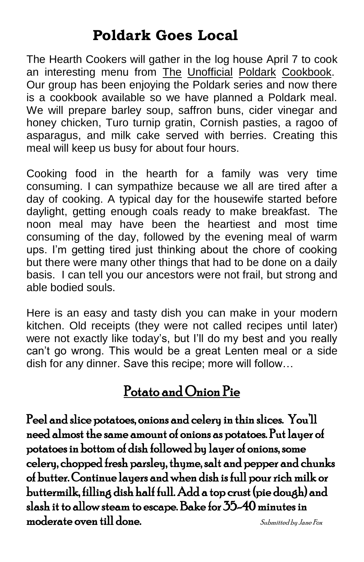### **Poldark Goes Local**

The Hearth Cookers will gather in the log house April 7 to cook an interesting menu from The Unofficial Poldark Cookbook. Our group has been enjoying the Poldark series and now there is a cookbook available so we have planned a Poldark meal. We will prepare barley soup, saffron buns, cider vinegar and honey chicken, Turo turnip gratin, Cornish pasties, a ragoo of asparagus, and milk cake served with berries. Creating this meal will keep us busy for about four hours.

Cooking food in the hearth for a family was very time consuming. I can sympathize because we all are tired after a day of cooking. A typical day for the housewife started before daylight, getting enough coals ready to make breakfast. The noon meal may have been the heartiest and most time consuming of the day, followed by the evening meal of warm ups. I'm getting tired just thinking about the chore of cooking but there were many other things that had to be done on a daily basis. I can tell you our ancestors were not frail, but strong and able bodied souls.

Here is an easy and tasty dish you can make in your modern kitchen. Old receipts (they were not called recipes until later) were not exactly like today's, but I'll do my best and you really can't go wrong. This would be a great Lenten meal or a side dish for any dinner. Save this recipe; more will follow…

#### Potato and Onion Pie

Peel and slice potatoes, onions and celery in thin slices. You'll need almost the same amount of onions as potatoes. Put layer of potatoes in bottom of dish followed by layer of onions, some celery, chopped fresh parsley, thyme, salt and pepper and chunks of butter. Continue layers and when dish is full pour rich milk or buttermilk, filling dish half full. Add a top crust (pie dough) and slash it to allow steam to escape. Bake for 35-40 minutes in  $\blacksquare$ moderate oven till done.  $\blacksquare$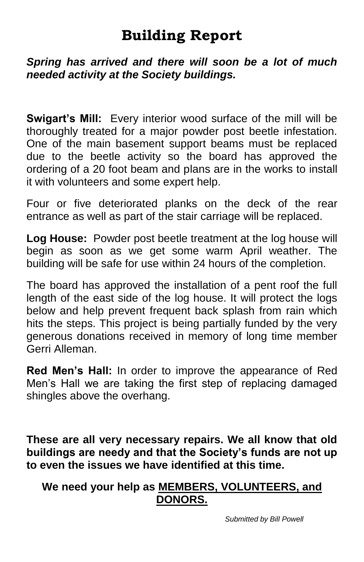### **Building Report**

*Spring has arrived and there will soon be a lot of much needed activity at the Society buildings.*

**Swigart's Mill:** Every interior wood surface of the mill will be thoroughly treated for a major powder post beetle infestation. One of the main basement support beams must be replaced due to the beetle activity so the board has approved the ordering of a 20 foot beam and plans are in the works to install it with volunteers and some expert help.

Four or five deteriorated planks on the deck of the rear entrance as well as part of the stair carriage will be replaced.

**Log House:** Powder post beetle treatment at the log house will begin as soon as we get some warm April weather. The building will be safe for use within 24 hours of the completion.

The board has approved the installation of a pent roof the full length of the east side of the log house. It will protect the logs below and help prevent frequent back splash from rain which hits the steps. This project is being partially funded by the very generous donations received in memory of long time member Gerri Alleman.

**Red Men's Hall:** In order to improve the appearance of Red Men's Hall we are taking the first step of replacing damaged shingles above the overhang.

**These are all very necessary repairs. We all know that old buildings are needy and that the Society's funds are not up to even the issues we have identified at this time.**

#### **We need your help as MEMBERS, VOLUNTEERS, and DONORS.**

*Submitted by Bill Powell*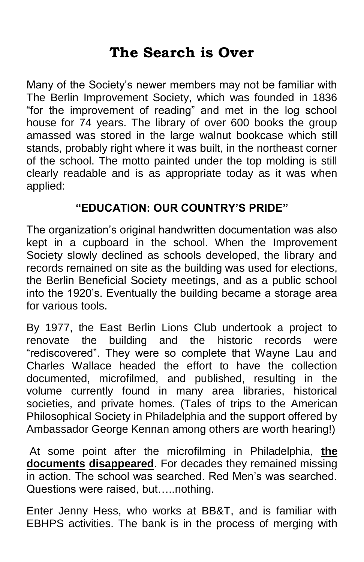### **The Search is Over**

Many of the Society's newer members may not be familiar with The Berlin Improvement Society, which was founded in 1836 "for the improvement of reading" and met in the log school house for 74 years. The library of over 600 books the group amassed was stored in the large walnut bookcase which still stands, probably right where it was built, in the northeast corner of the school. The motto painted under the top molding is still clearly readable and is as appropriate today as it was when applied:

#### **"EDUCATION: OUR COUNTRY'S PRIDE"**

The organization's original handwritten documentation was also kept in a cupboard in the school. When the Improvement Society slowly declined as schools developed, the library and records remained on site as the building was used for elections, the Berlin Beneficial Society meetings, and as a public school into the 1920's. Eventually the building became a storage area for various tools.

By 1977, the East Berlin Lions Club undertook a project to renovate the building and the historic records were "rediscovered". They were so complete that Wayne Lau and Charles Wallace headed the effort to have the collection documented, microfilmed, and published, resulting in the volume currently found in many area libraries, historical societies, and private homes. (Tales of trips to the American Philosophical Society in Philadelphia and the support offered by Ambassador George Kennan among others are worth hearing!)

At some point after the microfilming in Philadelphia, **the documents disappeared**. For decades they remained missing in action. The school was searched. Red Men's was searched. Questions were raised, but…..nothing.

Enter Jenny Hess, who works at BB&T, and is familiar with EBHPS activities. The bank is in the process of merging with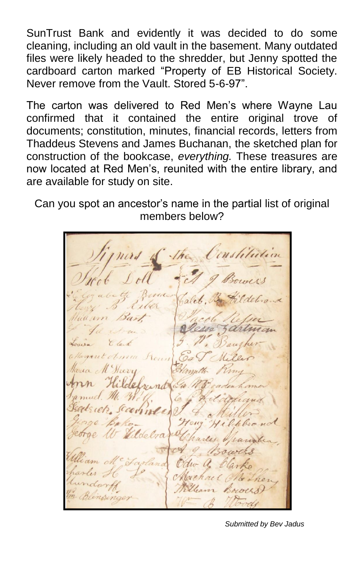SunTrust Bank and evidently it was decided to do some cleaning, including an old vault in the basement. Many outdated files were likely headed to the shredder, but Jenny spotted the cardboard carton marked "Property of EB Historical Society. Never remove from the Vault. Stored 5-6-97".

The carton was delivered to Red Men's where Wayne Lau confirmed that it contained the entire original trove of documents; constitution, minutes, financial records, letters from Thaddeus Stevens and James Buchanan, the sketched plan for construction of the bookcase, *everything.* These treasures are now located at Red Men's, reunited with the entire library, and are available for study on site.

Can you spot an ancestor's name in the partial list of original members below?

*Submitted by Bev Jadus*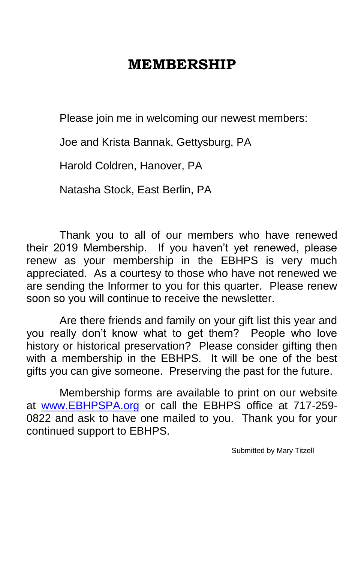### **MEMBERSHIP**

Please join me in welcoming our newest members:

Joe and Krista Bannak, Gettysburg, PA

Harold Coldren, Hanover, PA

Natasha Stock, East Berlin, PA

Thank you to all of our members who have renewed their 2019 Membership. If you haven't yet renewed, please renew as your membership in the EBHPS is very much appreciated. As a courtesy to those who have not renewed we are sending the Informer to you for this quarter. Please renew soon so you will continue to receive the newsletter.

Are there friends and family on your gift list this year and you really don't know what to get them? People who love history or historical preservation? Please consider gifting then with a membership in the EBHPS. It will be one of the best gifts you can give someone. Preserving the past for the future.

Membership forms are available to print on our website at [www.EBHPSPA.org](http://www.ebhpspa.org/) or call the EBHPS office at 717-259- 0822 and ask to have one mailed to you. Thank you for your continued support to EBHPS.

Submitted by Mary Titzell